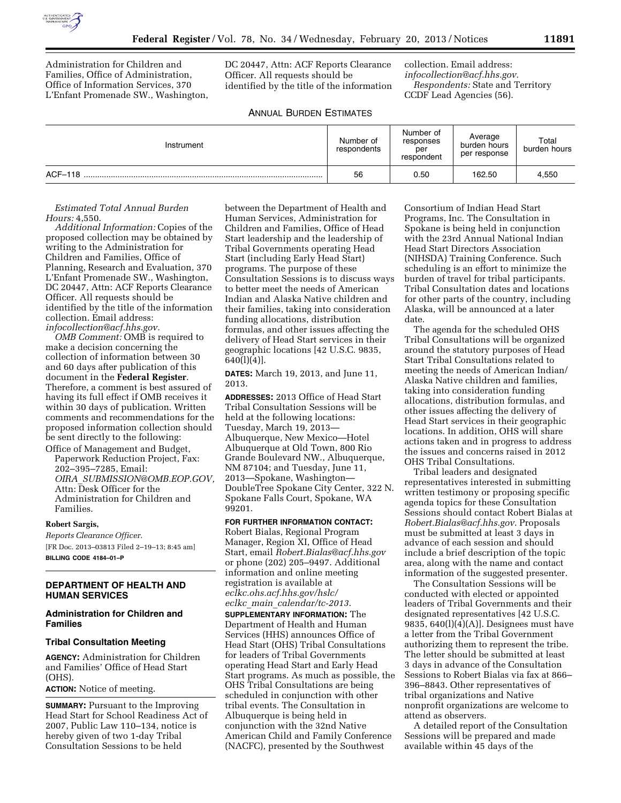

Administration for Children and Families, Office of Administration, Office of Information Services, 370 L'Enfant Promenade SW., Washington, DC 20447, Attn: ACF Reports Clearance Officer. All requests should be identified by the title of the information collection. Email address: *[infocollection@acf.hhs.gov.](mailto:infocollection@acf.hhs.gov)  Respondents:* State and Territory CCDF Lead Agencies (56).

# ANNUAL BURDEN ESTIMATES

| Instrument | Number of<br>respondents | Number of<br>responses<br>per<br>respondent | Average<br>burden hours<br>per response | Total<br>burden hours |
|------------|--------------------------|---------------------------------------------|-----------------------------------------|-----------------------|
| ACF-118    | 56                       | 0.50                                        | 162.50                                  | 4,550                 |

*Estimated Total Annual Burden Hours:* 4,550.

*Additional Information:* Copies of the proposed collection may be obtained by writing to the Administration for Children and Families, Office of Planning, Research and Evaluation, 370 L'Enfant Promenade SW., Washington, DC 20447, Attn: ACF Reports Clearance Officer. All requests should be identified by the title of the information collection. Email address: *[infocollection@acf.hhs.gov.](mailto:infocollection@acf.hhs.gov)* 

*OMB Comment:* OMB is required to make a decision concerning the collection of information between 30 and 60 days after publication of this document in the **Federal Register**. Therefore, a comment is best assured of having its full effect if OMB receives it within 30 days of publication. Written comments and recommendations for the proposed information collection should be sent directly to the following:

Office of Management and Budget, Paperwork Reduction Project, Fax: 202–395–7285, Email: *OIRA*\_*[SUBMISSION@OMB.EOP.GOV,](mailto:OIRA_SUBMISSION@OMB.EOP.GOV)*  Attn: Desk Officer for the Administration for Children and Families.

## **Robert Sargis,**

*Reports Clearance Officer.*  [FR Doc. 2013–03813 Filed 2–19–13; 8:45 am] **BILLING CODE 4184–01–P** 

# **DEPARTMENT OF HEALTH AND HUMAN SERVICES**

# **Administration for Children and Families**

#### **Tribal Consultation Meeting**

**AGENCY:** Administration for Children and Families' Office of Head Start (OHS).

**ACTION:** Notice of meeting.

**SUMMARY:** Pursuant to the Improving Head Start for School Readiness Act of 2007, Public Law 110–134, notice is hereby given of two 1-day Tribal Consultation Sessions to be held

between the Department of Health and Human Services, Administration for Children and Families, Office of Head Start leadership and the leadership of Tribal Governments operating Head Start (including Early Head Start) programs. The purpose of these Consultation Sessions is to discuss ways to better meet the needs of American Indian and Alaska Native children and their families, taking into consideration funding allocations, distribution formulas, and other issues affecting the delivery of Head Start services in their geographic locations [42 U.S.C. 9835, 640(l)(4)].

**DATES:** March 19, 2013, and June 11, 2013.

**ADDRESSES:** 2013 Office of Head Start Tribal Consultation Sessions will be held at the following locations: Tuesday, March 19, 2013— Albuquerque, New Mexico—Hotel Albuquerque at Old Town, 800 Rio Grande Boulevard NW., Albuquerque, NM 87104; and Tuesday, June 11, 2013—Spokane, Washington— DoubleTree Spokane City Center, 322 N. Spokane Falls Court, Spokane, WA 99201.

**FOR FURTHER INFORMATION CONTACT:**  Robert Bialas, Regional Program Manager, Region XI, Office of Head Start, email *[Robert.Bialas@acf.hhs.gov](mailto:Robert.Bialas@acf.hhs.gov)*  or phone (202) 205–9497. Additional information and online meeting registration is available at *eclkc.ohs.acf.hhs.gov/hslc/ eclkc*\_*main*\_*calendar/tc-2013*.

**SUPPLEMENTARY INFORMATION:** The Department of Health and Human Services (HHS) announces Office of Head Start (OHS) Tribal Consultations for leaders of Tribal Governments operating Head Start and Early Head Start programs. As much as possible, the OHS Tribal Consultations are being scheduled in conjunction with other tribal events. The Consultation in Albuquerque is being held in conjunction with the 32nd Native American Child and Family Conference (NACFC), presented by the Southwest

Consortium of Indian Head Start Programs, Inc. The Consultation in Spokane is being held in conjunction with the 23rd Annual National Indian Head Start Directors Association (NIHSDA) Training Conference. Such scheduling is an effort to minimize the burden of travel for tribal participants. Tribal Consultation dates and locations for other parts of the country, including Alaska, will be announced at a later date.

The agenda for the scheduled OHS Tribal Consultations will be organized around the statutory purposes of Head Start Tribal Consultations related to meeting the needs of American Indian/ Alaska Native children and families, taking into consideration funding allocations, distribution formulas, and other issues affecting the delivery of Head Start services in their geographic locations. In addition, OHS will share actions taken and in progress to address the issues and concerns raised in 2012 OHS Tribal Consultations.

Tribal leaders and designated representatives interested in submitting written testimony or proposing specific agenda topics for these Consultation Sessions should contact Robert Bialas at *[Robert.Bialas@acf.hhs.gov](mailto:Robert.Bialas@acf.hhs.gov)*. Proposals must be submitted at least 3 days in advance of each session and should include a brief description of the topic area, along with the name and contact information of the suggested presenter.

The Consultation Sessions will be conducted with elected or appointed leaders of Tribal Governments and their designated representatives [42 U.S.C. 9835,  $640(l)(4)(A)$ . Designees must have a letter from the Tribal Government authorizing them to represent the tribe. The letter should be submitted at least 3 days in advance of the Consultation Sessions to Robert Bialas via fax at 866– 396–8843. Other representatives of tribal organizations and Native nonprofit organizations are welcome to attend as observers.

A detailed report of the Consultation Sessions will be prepared and made available within 45 days of the